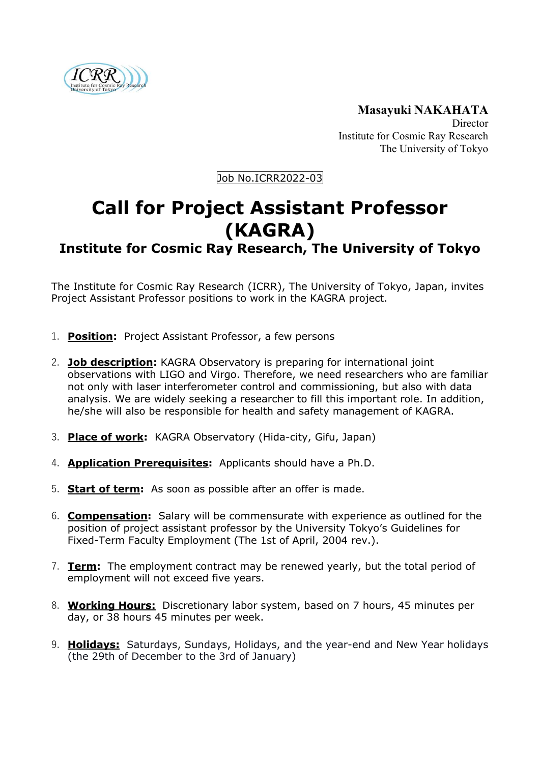

**Masayuki NAKAHATA** Director Institute for Cosmic Ray Research The University of Tokyo

Job No.ICRR2022-03

## **Call for Project Assistant Professor (KAGRA)**

## **Institute for Cosmic Ray Research, The University of Tokyo**

The Institute for Cosmic Ray Research (ICRR), The University of Tokyo, Japan, invites Project Assistant Professor positions to work in the KAGRA project.

- 1. **Position:** Project Assistant Professor, a few persons
- 2. **Job description:** KAGRA Observatory is preparing for international joint observations with LIGO and Virgo. Therefore, we need researchers who are familiar not only with laser interferometer control and commissioning, but also with data analysis. We are widely seeking a researcher to fill this important role. In addition, he/she will also be responsible for health and safety management of KAGRA.
- 3. **Place of work:** KAGRA Observatory (Hida-city, Gifu, Japan)
- 4. **Application Prerequisites:** Applicants should have a Ph.D.
- 5. **Start of term:** As soon as possible after an offer is made.
- 6. **Compensation:** Salary will be commensurate with experience as outlined for the position of project assistant professor by the University Tokyo's Guidelines for Fixed-Term Faculty Employment (The 1st of April, 2004 rev.).
- 7. **Term:** The employment contract may be renewed yearly, but the total period of employment will not exceed five years.
- 8. **Working Hours:** Discretionary labor system, based on 7 hours, 45 minutes per day, or 38 hours 45 minutes per week.
- 9. **Holidays:** Saturdays, Sundays, Holidays, and the year-end and New Year holidays (the 29th of December to the 3rd of January)